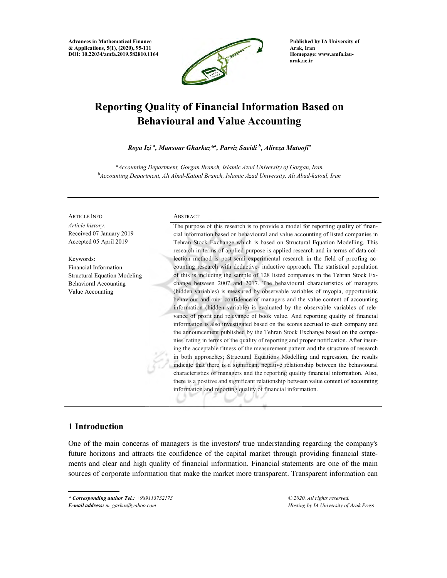Advances in Mathematical Finance & Applications, 5(1), (2020), 95-111 DOI: 10.22034/amfa.2019.582810.1164



Published by IA University of Arak, Iran Homepage: www.amfa.iauarak.ac.ir

# Reporting Quality of Financial Information Based on Behavioural and Value Accounting

Roya Izi <sup>a</sup>, Mansour Gharkaz\*<sup>a</sup>, Parviz Saeidi <sup>b</sup>, Alireza Matoofi<sup>a</sup>

<sup>a</sup>Accounting Department, Gorgan Branch, Islamic Azad University of Gorgan, Iran <sup>b</sup>Accounting Department, Ali Abad-Katoul Branch, Islamic Azad University, Ali Abad-katoul, Iran

#### ARTICLE INFO

Article history: Received 07 January 2019 Accepted 05 April 2019

Keywords: Financial Information Structural Equation Modeling Behavioral Accounting Value Accounting

#### **ABSTRACT**

The purpose of this research is to provide a model for reporting quality of financial information based on behavioural and value accounting of listed companies in Tehran Stock Exchange which is based on Structural Equation Modelling. This research in terms of applied purpose is applied research and in terms of data collection method is post-semi experimental research in the field of proofing accounting research with deductive- inductive approach. The statistical population of this is including the sample of 128 listed companies in the Tehran Stock Exchange between 2007 and 2017. The behavioural characteristics of managers (hidden variables) is measured by observable variables of myopia, opportunistic behaviour and over confidence of managers and the value content of accounting information (hidden variable) is evaluated by the observable variables of relevance of profit and relevance of book value. And reporting quality of financial information is also investigated based on the scores accrued to each company and the announcement published by the Tehran Stock Exchange based on the companies' rating in terms of the quality of reporting and proper notification. After insuring the acceptable fitness of the measurement pattern and the structure of research in both approaches; Structural Equations Modelling and regression, the results indicate that there is a significant negative relationship between the behavioural characteristics of managers and the reporting quality financial information. Also, there is a positive and significant relationship between value content of accounting information and reporting quality of financial information.

## 1 Introduction

One of the main concerns of managers is the investors' true understanding regarding the company's future horizons and attracts the confidence of the capital market through providing financial statements and clear and high quality of financial information. Financial statements are one of the main sources of corporate information that make the market more transparent. Transparent information can

\* Corresponding author Tel.: +989113732173

E-mail address: m\_garkaz@yahoo.com

© 2020. All rights reserved. Hosting by IA University of Arak Press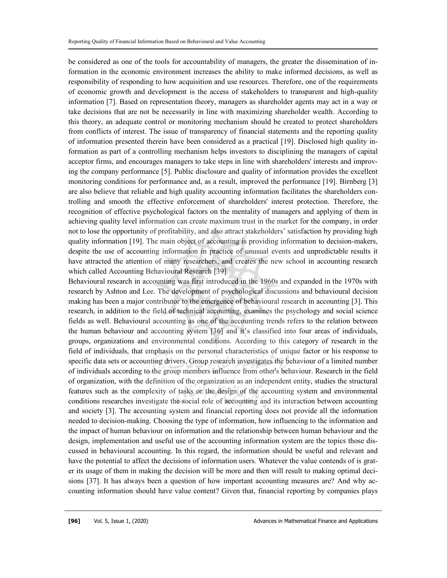be considered as one of the tools for accountability of managers, the greater the dissemination of information in the economic environment increases the ability to make informed decisions, as well as responsibility of responding to how acquisition and use resources. Therefore, one of the requirements of economic growth and development is the access of stakeholders to transparent and high-quality information [7]. Based on representation theory, managers as shareholder agents may act in a way or take decisions that are not be necessarily in line with maximizing shareholder wealth. According to this theory, an adequate control or monitoring mechanism should be created to protect shareholders from conflicts of interest. The issue of transparency of financial statements and the reporting quality of information presented therein have been considered as a practical [19]. Disclosed high quality information as part of a controlling mechanism helps investors to disciplining the managers of capital acceptor firms, and encourages managers to take steps in line with shareholders' interests and improving the company performance [5]. Public disclosure and quality of information provides the excellent monitoring conditions for performance and, as a result, improved the performance [19]. Birnberg [3] are also believe that reliable and high quality accounting information facilitates the shareholders controlling and smooth the effective enforcement of shareholders' interest protection. Therefore, the recognition of effective psychological factors on the mentality of managers and applying of them in achieving quality level information can create maximum trust in the market for the company, in order not to lose the opportunity of profitability, and also attract stakeholders' satisfaction by providing high quality information [19]. The main object of accounting is providing information to decision-makers, despite the use of accounting information in practice of unusual events and unpredictable results it have attracted the attention of many researchers, and creates the new school in accounting research which called Accounting Behavioural Research [39].

Behavioural research in accounting was first introduced in the 1960s and expanded in the 1970s with research by Ashton and Lee. The development of psychological discussions and behavioural decision making has been a major contributor to the emergence of behavioural research in accounting [3]. This research, in addition to the field of technical accounting, examines the psychology and social science fields as well. Behavioural accounting as one of the accounting trends refers to the relation between the human behaviour and accounting system [36] and it's classified into four areas of individuals, groups, organizations and environmental conditions. According to this category of research in the field of individuals, that emphasis on the personal characteristics of unique factor or his response to specific data sets or accounting drivers. Group research investigates the behaviour of a limited number of individuals according to the group members influence from other's behaviour. Research in the field of organization, with the definition of the organization as an independent entity, studies the structural features such as the complexity of tasks or the design of the accounting system and environmental conditions researches investigate the social role of accounting and its interaction between accounting and society [3]. The accounting system and financial reporting does not provide all the information needed to decision-making. Choosing the type of information, how influencing to the information and the impact of human behaviour on information and the relationship between human behaviour and the design, implementation and useful use of the accounting information system are the topics those discussed in behavioural accounting. In this regard, the information should be useful and relevant and have the potential to affect the decisions of information users. Whatever the value contends of is grater its usage of them in making the decision will be more and then will result to making optimal decisions [37]. It has always been a question of how important accounting measures are? And why accounting information should have value content? Given that, financial reporting by companies plays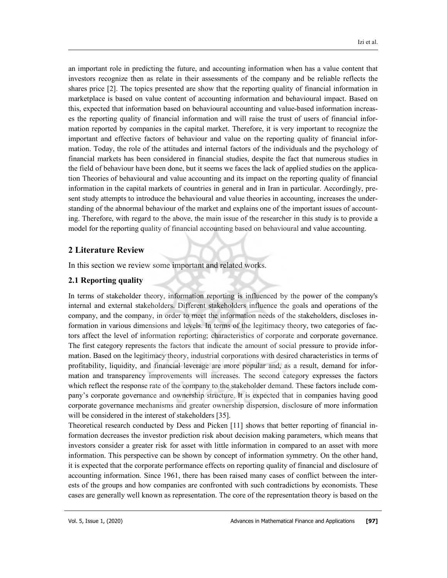an important role in predicting the future, and accounting information when has a value content that investors recognize then as relate in their assessments of the company and be reliable reflects the shares price [2]. The topics presented are show that the reporting quality of financial information in marketplace is based on value content of accounting information and behavioural impact. Based on this, expected that information based on behavioural accounting and value-based information increases the reporting quality of financial information and will raise the trust of users of financial information reported by companies in the capital market. Therefore, it is very important to recognize the important and effective factors of behaviour and value on the reporting quality of financial information. Today, the role of the attitudes and internal factors of the individuals and the psychology of financial markets has been considered in financial studies, despite the fact that numerous studies in the field of behaviour have been done, but it seems we faces the lack of applied studies on the application Theories of behavioural and value accounting and its impact on the reporting quality of financial information in the capital markets of countries in general and in Iran in particular. Accordingly, present study attempts to introduce the behavioural and value theories in accounting, increases the understanding of the abnormal behaviour of the market and explains one of the important issues of accounting. Therefore, with regard to the above, the main issue of the researcher in this study is to provide a model for the reporting quality of financial accounting based on behavioural and value accounting.

## 2 Literature Review

In this section we review some important and related works.

#### 2.1 Reporting quality

In terms of stakeholder theory, information reporting is influenced by the power of the company's internal and external stakeholders. Different stakeholders influence the goals and operations of the company, and the company, in order to meet the information needs of the stakeholders, discloses information in various dimensions and levels. In terms of the legitimacy theory, two categories of factors affect the level of information reporting; characteristics of corporate and corporate governance. The first category represents the factors that indicate the amount of social pressure to provide information. Based on the legitimacy theory, industrial corporations with desired characteristics in terms of profitability, liquidity, and financial leverage are more popular and, as a result, demand for information and transparency improvements will increases. The second category expresses the factors which reflect the response rate of the company to the stakeholder demand. These factors include company's corporate governance and ownership structure. It is expected that in companies having good corporate governance mechanisms and greater ownership dispersion, disclosure of more information will be considered in the interest of stakeholders [35].

Theoretical research conducted by Dess and Picken [11] shows that better reporting of financial information decreases the investor prediction risk about decision making parameters, which means that investors consider a greater risk for asset with little information in compared to an asset with more information. This perspective can be shown by concept of information symmetry. On the other hand, it is expected that the corporate performance effects on reporting quality of financial and disclosure of accounting information. Since 1961, there has been raised many cases of conflict between the interests of the groups and how companies are confronted with such contradictions by economists. These cases are generally well known as representation. The core of the representation theory is based on the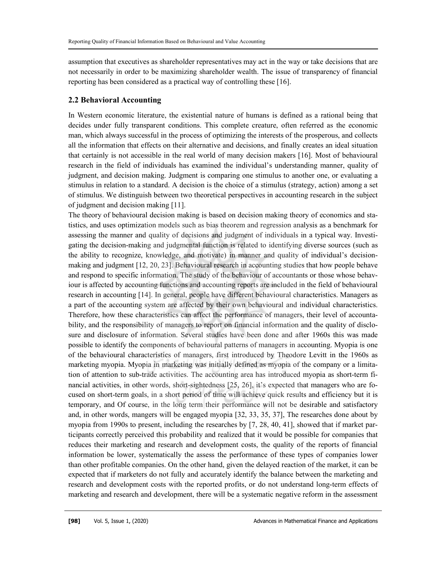assumption that executives as shareholder representatives may act in the way or take decisions that are not necessarily in order to be maximizing shareholder wealth. The issue of transparency of financial reporting has been considered as a practical way of controlling these [16].

## 2.2 Behavioral Accounting

In Western economic literature, the existential nature of humans is defined as a rational being that decides under fully transparent conditions. This complete creature, often referred as the economic man, which always successful in the process of optimizing the interests of the prosperous, and collects all the information that effects on their alternative and decisions, and finally creates an ideal situation that certainly is not accessible in the real world of many decision makers [16]. Most of behavioural research in the field of individuals has examined the individual's understanding manner, quality of judgment, and decision making. Judgment is comparing one stimulus to another one, or evaluating a stimulus in relation to a standard. A decision is the choice of a stimulus (strategy, action) among a set of stimulus. We distinguish between two theoretical perspectives in accounting research in the subject of judgment and decision making [11].

The theory of behavioural decision making is based on decision making theory of economics and statistics, and uses optimization models such as bias theorem and regression analysis as a benchmark for assessing the manner and quality of decisions and judgment of individuals in a typical way. Investigating the decision-making and judgmental function is related to identifying diverse sources (such as the ability to recognize, knowledge, and motivate) in manner and quality of individual's decisionmaking and judgment [12, 20, 23]. Behavioural research in accounting studies that how people behave and respond to specific information. The study of the behaviour of accountants or those whose behaviour is affected by accounting functions and accounting reports are included in the field of behavioural research in accounting [14]. In general, people have different behavioural characteristics. Managers as a part of the accounting system are affected by their own behavioural and individual characteristics. Therefore, how these characteristics can affect the performance of managers, their level of accountability, and the responsibility of managers to report on financial information and the quality of disclosure and disclosure of information. Several studies have been done and after 1960s this was made possible to identify the components of behavioural patterns of managers in accounting. Myopia is one of the behavioural characteristics of managers, first introduced by Theodore Levitt in the 1960s as marketing myopia. Myopia in marketing was initially defined as myopia of the company or a limitation of attention to sub-trade activities. The accounting area has introduced myopia as short-term financial activities, in other words, short-sightedness [25, 26], it's expected that managers who are focused on short-term goals, in a short period of time will achieve quick results and efficiency but it is temporary, and Of course, in the long term their performance will not be desirable and satisfactory and, in other words, mangers will be engaged myopia [32, 33, 35, 37], The researches done about by myopia from 1990s to present, including the researches by [7, 28, 40, 41], showed that if market participants correctly perceived this probability and realized that it would be possible for companies that reduces their marketing and research and development costs, the quality of the reports of financial information be lower, systematically the assess the performance of these types of companies lower than other profitable companies. On the other hand, given the delayed reaction of the market, it can be expected that if marketers do not fully and accurately identify the balance between the marketing and research and development costs with the reported profits, or do not understand long-term effects of marketing and research and development, there will be a systematic negative reform in the assessment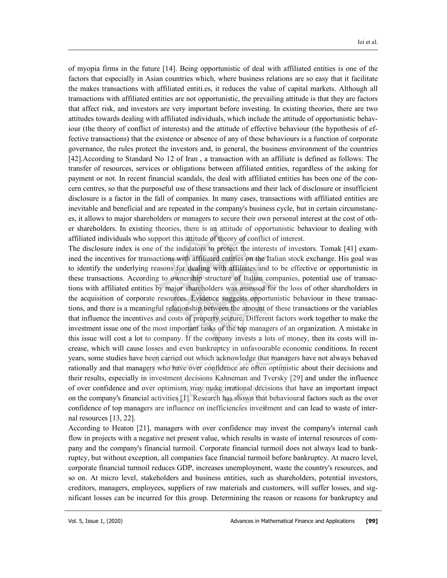of myopia firms in the future [14]. Being opportunistic of deal with affiliated entities is one of the factors that especially in Asian countries which, where business relations are so easy that it facilitate the makes transactions with affiliated entiti.es, it reduces the value of capital markets. Although all transactions with affiliated entities are not opportunistic, the prevailing attitude is that they are factors that affect risk, and investors are very important before investing. In existing theories, there are two attitudes towards dealing with affiliated individuals, which include the attitude of opportunistic behaviour (the theory of conflict of interests) and the attitude of effective behaviour (the hypothesis of effective transactions) that the existence or absence of any of these behaviours is a function of corporate governance, the rules protect the investors and, in general, the business environment of the countries [42].According to Standard No 12 of Iran , a transaction with an affiliate is defined as follows: The transfer of resources, services or obligations between affiliated entities, regardless of the asking for payment or not. In recent financial scandals, the deal with affiliated entities has been one of the concern centres, so that the purposeful use of these transactions and their lack of disclosure or insufficient disclosure is a factor in the fall of companies. In many cases, transactions with affiliated entities are inevitable and beneficial and are repeated in the company's business cycle, but in certain circumstances, it allows to major shareholders or managers to secure their own personal interest at the cost of other shareholders. In existing theories, there is an attitude of opportunistic behaviour to dealing with affiliated individuals who support this attitude of theory of conflict of interest.

The disclosure index is one of the indicators to protect the interests of investors. Tomak [41] examined the incentives for transactions with affiliated entities on the Italian stock exchange. His goal was to identify the underlying reasons for dealing with affiliates and to be effective or opportunistic in these transactions. According to ownership structure of Italian companies, potential use of transactions with affiliated entities by major shareholders was assessed for the loss of other shareholders in the acquisition of corporate resources. Evidence suggests opportunistic behaviour in these transactions, and there is a meaningful relationship between the amount of these transactions or the variables that influence the incentives and costs of property seizure. Different factors work together to make the investment issue one of the most important tasks of the top managers of an organization. A mistake in this issue will cost a lot to company. If the company invests a lots of money, then its costs will increase, which will cause losses and even bankruptcy in unfavourable economic conditions. In recent years, some studies have been carried out which acknowledge that managers have not always behaved rationally and that managers who have over confidence are often optimistic about their decisions and their results, especially in investment decisions Kahneman and Tversky [29] and under the influence of over confidence and over optimism, may make irrational decisions that have an important impact on the company's financial activities [1]. Research has shown that behavioural factors such as the over confidence of top managers are influence on inefficiencies investment and can lead to waste of internal resources [13, 22].

According to Heaton [21], managers with over confidence may invest the company's internal cash flow in projects with a negative net present value, which results in waste of internal resources of company and the company's financial turmoil. Corporate financial turmoil does not always lead to bankruptcy, but without exception, all companies face financial turmoil before bankruptcy. At macro level, corporate financial turmoil reduces GDP, increases unemployment, waste the country's resources, and so on. At micro level, stakeholders and business entities, such as shareholders, potential investors, creditors, managers, employees, suppliers of raw materials and customers, will suffer losses, and significant losses can be incurred for this group. Determining the reason or reasons for bankruptcy and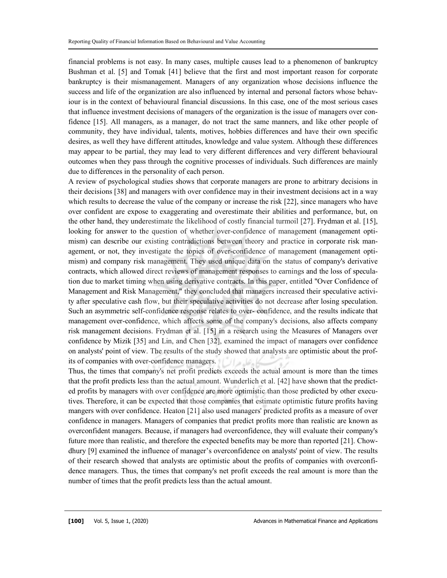financial problems is not easy. In many cases, multiple causes lead to a phenomenon of bankruptcy Bushman et al. [5] and Tomak [41] believe that the first and most important reason for corporate bankruptcy is their mismanagement. Managers of any organization whose decisions influence the success and life of the organization are also influenced by internal and personal factors whose behaviour is in the context of behavioural financial discussions. In this case, one of the most serious cases that influence investment decisions of managers of the organization is the issue of managers over confidence [15]. All managers, as a manager, do not tract the same manners, and like other people of community, they have individual, talents, motives, hobbies differences and have their own specific desires, as well they have different attitudes, knowledge and value system. Although these differences may appear to be partial, they may lead to very different differences and very different behavioural outcomes when they pass through the cognitive processes of individuals. Such differences are mainly due to differences in the personality of each person.

A review of psychological studies shows that corporate managers are prone to arbitrary decisions in their decisions [38] and managers with over confidence may in their investment decisions act in a way which results to decrease the value of the company or increase the risk [22], since managers who have over confident are expose to exaggerating and overestimate their abilities and performance, but, on the other hand, they underestimate the likelihood of costly financial turmoil [27]. Frydman et al. [15], looking for answer to the question of whether over-confidence of management (management optimism) can describe our existing contradictions between theory and practice in corporate risk management, or not, they investigate the topics of over-confidence of management (management optimism) and company risk management. They used unique data on the status of company's derivative contracts, which allowed direct reviews of management responses to earnings and the loss of speculation due to market timing when using derivative contracts. In this paper, entitled "Over Confidence of Management and Risk Management," they concluded that managers increased their speculative activity after speculative cash flow, but their speculative activities do not decrease after losing speculation. Such an asymmetric self-confidence response relates to over- confidence, and the results indicate that management over-confidence, which affects some of the company's decisions, also affects company risk management decisions. Frydman et al. [15] in a research using the Measures of Managers over confidence by Mizik [35] and Lin, and Chen [32], examined the impact of managers over confidence on analysts' point of view. The results of the study showed that analysts are optimistic about the profits of companies with over-confidence managers.

Thus, the times that company's net profit predicts exceeds the actual amount is more than the times that the profit predicts less than the actual amount. Wunderlich et al. [42] have shown that the predicted profits by managers with over confidence are more optimistic than those predicted by other executives. Therefore, it can be expected that those companies that estimate optimistic future profits having mangers with over confidence. Heaton [21] also used managers' predicted profits as a measure of over confidence in managers. Managers of companies that predict profits more than realistic are known as overconfident managers. Because, if managers had overconfidence, they will evaluate their company's future more than realistic, and therefore the expected benefits may be more than reported [21]. Chowdhury [9] examined the influence of manager's overconfidence on analysts' point of view. The results of their research showed that analysts are optimistic about the profits of companies with overconfidence managers. Thus, the times that company's net profit exceeds the real amount is more than the number of times that the profit predicts less than the actual amount.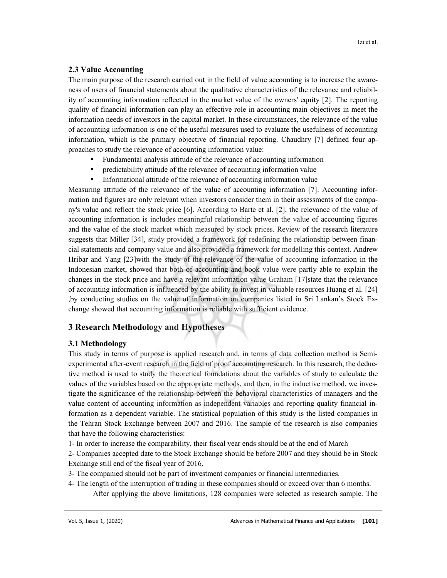## 2.3 Value Accounting

The main purpose of the research carried out in the field of value accounting is to increase the awareness of users of financial statements about the qualitative characteristics of the relevance and reliability of accounting information reflected in the market value of the owners' equity [2]. The reporting quality of financial information can play an effective role in accounting main objectives in meet the information needs of investors in the capital market. In these circumstances, the relevance of the value of accounting information is one of the useful measures used to evaluate the usefulness of accounting information, which is the primary objective of financial reporting. Chaudhry [7] defined four approaches to study the relevance of accounting information value:

- Fundamental analysis attitude of the relevance of accounting information
- predictability attitude of the relevance of accounting information value
- Informational attitude of the relevance of accounting information value

Measuring attitude of the relevance of the value of accounting information [7]. Accounting information and figures are only relevant when investors consider them in their assessments of the company's value and reflect the stock price [6]. According to Barte et al. [2], the relevance of the value of accounting information is includes meaningful relationship between the value of accounting figures and the value of the stock market which measured by stock prices. Review of the research literature suggests that Miller [34], study provided a framework for redefining the relationship between financial statements and company value and also provided a framework for modelling this context. Andrew Hribar and Yang [23]with the study of the relevance of the value of accounting information in the Indonesian market, showed that both of accounting and book value were partly able to explain the changes in the stock price and have a relevant information value Graham [17]state that the relevance of accounting information is influenced by the ability to invest in valuable resources Huang et al. [24] ,by conducting studies on the value of information on companies listed in Sri Lankan's Stock Exchange showed that accounting information is reliable with sufficient evidence.

# 3 Research Methodology and Hypotheses

## 3.1 Methodology

This study in terms of purpose is applied research and, in terms of data collection method is Semiexperimental after-event research in the field of proof accounting research. In this research, the deductive method is used to study the theoretical foundations about the variables of study to calculate the values of the variables based on the appropriate methods, and then, in the inductive method, we investigate the significance of the relationship between the behavioral characteristics of managers and the value content of accounting information as independent variables and reporting quality financial information as a dependent variable. The statistical population of this study is the listed companies in the Tehran Stock Exchange between 2007 and 2016. The sample of the research is also companies that have the following characteristics:

1- In order to increase the comparability, their fiscal year ends should be at the end of March

2- Companies accepted date to the Stock Exchange should be before 2007 and they should be in Stock Exchange still end of the fiscal year of 2016.

- 3- The companied should not be part of investment companies or financial intermediaries.
- 4- The length of the interruption of trading in these companies should or exceed over than 6 months. After applying the above limitations, 128 companies were selected as research sample. The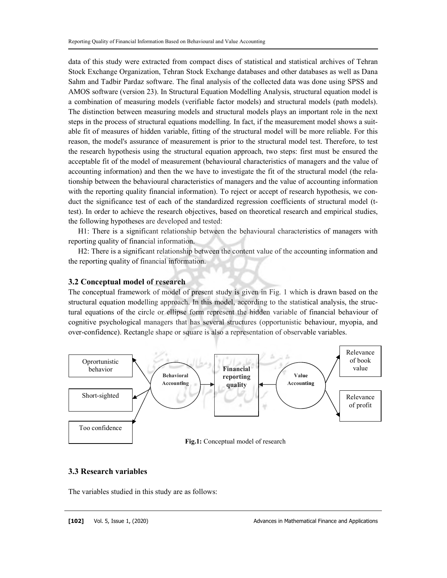data of this study were extracted from compact discs of statistical and statistical archives of Tehran Stock Exchange Organization, Tehran Stock Exchange databases and other databases as well as Dana Sahm and Tadbir Pardaz software. The final analysis of the collected data was done using SPSS and AMOS software (version 23). In Structural Equation Modelling Analysis, structural equation model is a combination of measuring models (verifiable factor models) and structural models (path models). The distinction between measuring models and structural models plays an important role in the next steps in the process of structural equations modelling. In fact, if the measurement model shows a suitable fit of measures of hidden variable, fitting of the structural model will be more reliable. For this reason, the model's assurance of measurement is prior to the structural model test. Therefore, to test the research hypothesis using the structural equation approach, two steps: first must be ensured the acceptable fit of the model of measurement (behavioural characteristics of managers and the value of accounting information) and then the we have to investigate the fit of the structural model (the relationship between the behavioural characteristics of managers and the value of accounting information with the reporting quality financial information). To reject or accept of research hypothesis, we conduct the significance test of each of the standardized regression coefficients of structural model (ttest). In order to achieve the research objectives, based on theoretical research and empirical studies, the following hypotheses are developed and tested:

H1: There is a significant relationship between the behavioural characteristics of managers with reporting quality of financial information.

H2: There is a significant relationship between the content value of the accounting information and the reporting quality of financial information.

#### 3.2 Conceptual model of research

The conceptual framework of model of present study is given in Fig. 1 which is drawn based on the structural equation modelling approach. In this model, according to the statistical analysis, the structural equations of the circle or ellipse form represent the hidden variable of financial behaviour of cognitive psychological managers that has several structures (opportunistic behaviour, myopia, and over-confidence). Rectangle shape or square is also a representation of observable variables.



## 3.3 Research variables

The variables studied in this study are as follows: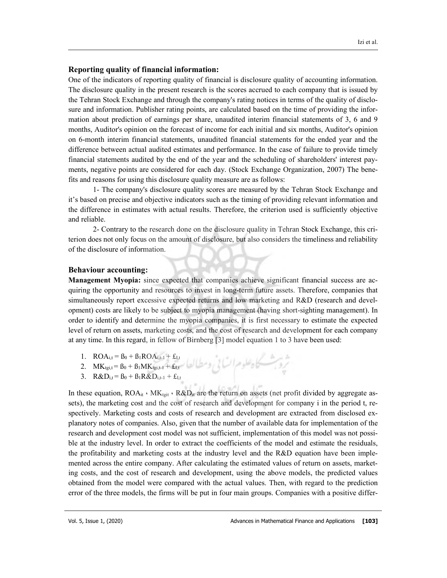#### Reporting quality of financial information:

One of the indicators of reporting quality of financial is disclosure quality of accounting information. The disclosure quality in the present research is the scores accrued to each company that is issued by the Tehran Stock Exchange and through the company's rating notices in terms of the quality of disclosure and information. Publisher rating points, are calculated based on the time of providing the information about prediction of earnings per share, unaudited interim financial statements of 3, 6 and 9 months, Auditor's opinion on the forecast of income for each initial and six months, Auditor's opinion on 6-month interim financial statements, unaudited financial statements for the ended year and the difference between actual audited estimates and performance. In the case of failure to provide timely financial statements audited by the end of the year and the scheduling of shareholders' interest payments, negative points are considered for each day. (Stock Exchange Organization, 2007) The benefits and reasons for using this disclosure quality measure are as follows:

1- The company's disclosure quality scores are measured by the Tehran Stock Exchange and it's based on precise and objective indicators such as the timing of providing relevant information and the difference in estimates with actual results. Therefore, the criterion used is sufficiently objective and reliable.

2- Contrary to the research done on the disclosure quality in Tehran Stock Exchange, this criterion does not only focus on the amount of disclosure, but also considers the timeliness and reliability of the disclosure of information.

#### Behaviour accounting:

Management Myopia: since expected that companies achieve significant financial success are acquiring the opportunity and resources to invest in long-term future assets. Therefore, companies that simultaneously report excessive expected returns and low marketing and R&D (research and development) costs are likely to be subject to myopia management (having short-sighting management). In order to identify and determine the myopia companies, it is first necessary to estimate the expected level of return on assets, marketing costs, and the cost of research and development for each company at any time. In this regard, in fellow of Birnberg [3] model equation 1 to 3 have been used:

- 1.  $ROA_{i,t} = B_0 + B_1ROA_{i,t-1} + \pounds_{I,t}$
- 2.  $MK_{tgi,t} = \beta_0 + \beta_1 MK_{tgi,t-1} + \pounds_{I,t}$
- 3.  $R&D_{i,t} = B_0 + B_1R&D_{i,t-1} + \pounds_{I,t}$

In these equation,  $ROA_{it} \cdot MK_{tgit} \cdot R&D_{it}$  are the return on assets (net profit divided by aggregate assets), the marketing cost and the cost of research and development for company i in the period t, respectively. Marketing costs and costs of research and development are extracted from disclosed explanatory notes of companies. Also, given that the number of available data for implementation of the research and development cost model was not sufficient, implementation of this model was not possible at the industry level. In order to extract the coefficients of the model and estimate the residuals, the profitability and marketing costs at the industry level and the R&D equation have been implemented across the entire company. After calculating the estimated values of return on assets, marketing costs, and the cost of research and development, using the above models, the predicted values obtained from the model were compared with the actual values. Then, with regard to the prediction error of the three models, the firms will be put in four main groups. Companies with a positive differ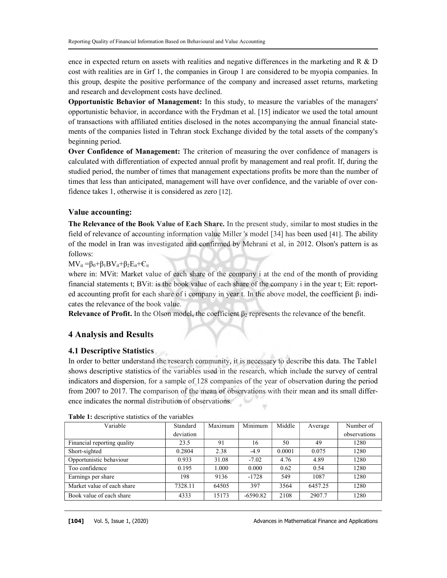ence in expected return on assets with realities and negative differences in the marketing and R  $\&$  D cost with realities are in Grf 1, the companies in Group 1 are considered to be myopia companies. In this group, despite the positive performance of the company and increased asset returns, marketing and research and development costs have declined.

Opportunistic Behavior of Management: In this study, to measure the variables of the managers' opportunistic behavior, in accordance with the Frydman et al. [15] indicator we used the total amount of transactions with affiliated entities disclosed in the notes accompanying the annual financial statements of the companies listed in Tehran stock Exchange divided by the total assets of the company's beginning period.

Over Confidence of Management: The criterion of measuring the over confidence of managers is calculated with differentiation of expected annual profit by management and real profit. If, during the studied period, the number of times that management expectations profits be more than the number of times that less than anticipated, management will have over confidence, and the variable of over confidence takes 1, otherwise it is considered as zero [12].

#### Value accounting:

The Relevance of the Book Value of Each Share. In the present study, similar to most studies in the field of relevance of accounting information value Miller 's model [34] has been used [41]. The ability of the model in Iran was investigated and confirmed by Mehrani et al, in 2012. Olson's pattern is as follows:

### $MV_{it} = \beta_0 + \beta_1 BV_{it} + \beta_2 E_{it} + C_{it}$

where in: MVit: Market value of each share of the company i at the end of the month of providing financial statements t; BVit: is the book value of each share of the company i in the year t; Eit: reported accounting profit for each share of i company in year t. In the above model, the coefficient  $\beta_1$  indicates the relevance of the book value.

**Relevance of Profit.** In the Olson model, the coefficient  $\beta_2$  represents the relevance of the benefit.

## 4 Analysis and Results

## 4.1 Descriptive Statistics

In order to better understand the research community, it is necessary to describe this data. The Table1 shows descriptive statistics of the variables used in the research, which include the survey of central indicators and dispersion, for a sample of 128 companies of the year of observation during the period from 2007 to 2017. The comparison of the mean of observations with their mean and its small difference indicates the normal distribution of observations.

| Variable                    | Standard  | Maximum | Minimum    | Middle | Average | Number of    |
|-----------------------------|-----------|---------|------------|--------|---------|--------------|
|                             | deviation |         |            |        |         | observations |
| Financial reporting quality | 23.5      | 91      | 16         | 50     | 49      | 1280         |
| Short-sighted               | 0.2804    | 2.38    | $-4.9$     | 0.0001 | 0.075   | 1280         |
| Opportunistic behaviour     | 0.933     | 31.08   | $-7.02$    | 4.76   | 4.89    | 1280         |
| Too confidence              | 0.195     | 1.000   | 0.000      | 0.62   | 0.54    | 1280         |
| Earnings per share          | 198       | 9136    | $-1728$    | 549    | 1087    | 1280         |
| Market value of each share  | 7328.11   | 64505   | 397        | 3564   | 6457.25 | 1280         |
| Book value of each share    | 4333      | 15173   | $-6590.82$ | 2108   | 2907.7  | 1280         |

| Table 1: descriptive statistics of the variables |  |  |  |  |
|--------------------------------------------------|--|--|--|--|
|--------------------------------------------------|--|--|--|--|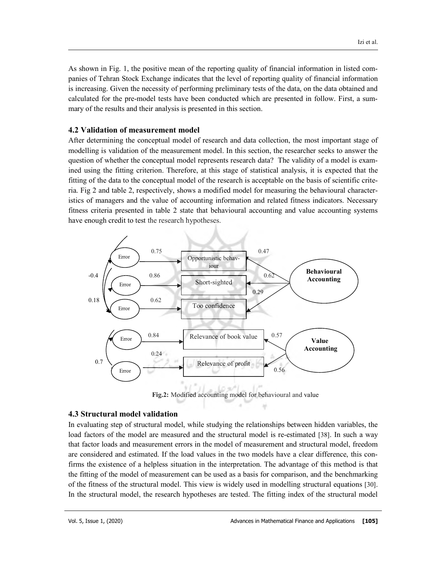As shown in Fig. 1, the positive mean of the reporting quality of financial information in listed companies of Tehran Stock Exchange indicates that the level of reporting quality of financial information is increasing. Given the necessity of performing preliminary tests of the data, on the data obtained and calculated for the pre-model tests have been conducted which are presented in follow. First, a summary of the results and their analysis is presented in this section.

#### 4.2 Validation of measurement model

After determining the conceptual model of research and data collection, the most important stage of modelling is validation of the measurement model. In this section, the researcher seeks to answer the question of whether the conceptual model represents research data? The validity of a model is examined using the fitting criterion. Therefore, at this stage of statistical analysis, it is expected that the fitting of the data to the conceptual model of the research is acceptable on the basis of scientific criteria. Fig 2 and table 2, respectively, shows a modified model for measuring the behavioural characteristics of managers and the value of accounting information and related fitness indicators. Necessary fitness criteria presented in table 2 state that behavioural accounting and value accounting systems have enough credit to test the research hypotheses.



Fig.2: Modified accounting model for behavioural and value

#### 4.3 Structural model validation

In evaluating step of structural model, while studying the relationships between hidden variables, the load factors of the model are measured and the structural model is re-estimated [38]. In such a way that factor loads and measurement errors in the model of measurement and structural model, freedom are considered and estimated. If the load values in the two models have a clear difference, this confirms the existence of a helpless situation in the interpretation. The advantage of this method is that the fitting of the model of measurement can be used as a basis for comparison, and the benchmarking of the fitness of the structural model. This view is widely used in modelling structural equations [30]. In the structural model, the research hypotheses are tested. The fitting index of the structural model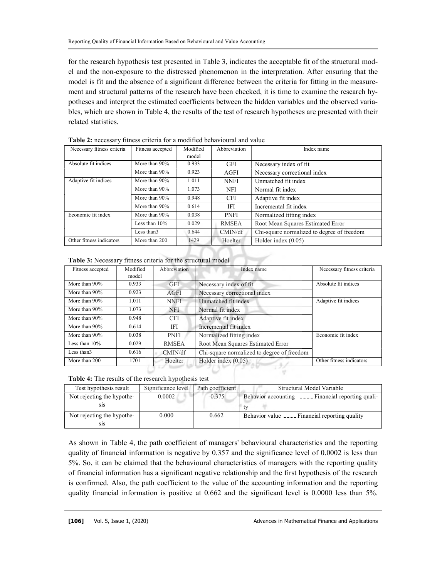for the research hypothesis test presented in Table 3, indicates the acceptable fit of the structural model and the non-exposure to the distressed phenomenon in the interpretation. After ensuring that the model is fit and the absence of a significant difference between the criteria for fitting in the measurement and structural patterns of the research have been checked, it is time to examine the research hypotheses and interpret the estimated coefficients between the hidden variables and the observed variables, which are shown in Table 4, the results of the test of research hypotheses are presented with their related statistics.

| Necessary fitness criteria | Fitness accepted | Modified | Abbreviation | Index name                                 |
|----------------------------|------------------|----------|--------------|--------------------------------------------|
|                            |                  | model    |              |                                            |
| Absolute fit indices       | More than 90%    | 0.933    | <b>GFI</b>   | Necessary index of fit                     |
|                            | More than $90\%$ | 0.923    | AGFI         | Necessary correctional index               |
| Adaptive fit indices       | More than $90\%$ | 1.011    | <b>NNFI</b>  | Unmatched fit index                        |
|                            | More than 90%    | 1.073    | NFI          | Normal fit index                           |
|                            | More than 90%    | 0.948    | <b>CFI</b>   | Adaptive fit index                         |
|                            | More than 90%    | 0.614    | IFI          | Incremental fit index                      |
| Economic fit index         | More than $90\%$ | 0.038    | <b>PNFI</b>  | Normalized fitting index                   |
|                            | Less than $10\%$ | 0.029    | <b>RMSEA</b> | Root Mean Squares Estimated Error          |
|                            | Less than 3      | 0.644    | CMIN/df      | Chi-square normalized to degree of freedom |
| Other fitness indicators   | More than 200    | 1429     | Hoelter      | Holder index $(0.05)$                      |

Table 2: necessary fitness criteria for a modified behavioural and value

Table 3: Necessary fitness criteria for the structural model

| Fitness accepted | Modified<br>model | Abbreviation | Index name                                 | Necessary fitness criteria |
|------------------|-------------------|--------------|--------------------------------------------|----------------------------|
| More than 90%    | 0.933             | <b>GFI</b>   | Necessary index of fit                     | Absolute fit indices       |
| More than 90%    | 0.923             | AGFI         | Necessary correctional index               |                            |
| More than 90%    | 1.011             | <b>NNFI</b>  | Unmatched fit index                        | Adaptive fit indices       |
| More than 90%    | 1.073             | <b>NFI</b>   | Normal fit index                           |                            |
| More than 90%    | 0.948             | <b>CFI</b>   | Adaptive fit index                         |                            |
| More than 90%    | 0.614             | IFI          | Incremental fit index                      |                            |
| More than 90%    | 0.038             | <b>PNFI</b>  | Normalized fitting index                   | Economic fit index         |
| Less than $10\%$ | 0.029             | <b>RMSEA</b> | Root Mean Squares Estimated Error          |                            |
| Less than 3      | 0.616             | CMIN/df      | Chi-square normalized to degree of freedom |                            |
| More than 200    | 1701              | Hoelter      | Holder index $(0.05)$                      | Other fitness indicators   |

Table 4: The results of the research hypothesis test

| Test hypothesis result                         | Significance level | Path coefficient | Structural Model Variable                           |
|------------------------------------------------|--------------------|------------------|-----------------------------------------------------|
| Not rejecting the hypothe-<br>S <sub>1</sub> S | 0.0002             | $-0.375$         | Behavior accounting ____ Financial reporting quali- |
| Not rejecting the hypothe-<br>S1S              | 0.000              | 0.662            | Behavior value ____ Financial reporting quality     |

As shown in Table 4, the path coefficient of managers' behavioural characteristics and the reporting quality of financial information is negative by 0.357 and the significance level of 0.0002 is less than 5%. So, it can be claimed that the behavioural characteristics of managers with the reporting quality of financial information has a significant negative relationship and the first hypothesis of the research is confirmed. Also, the path coefficient to the value of the accounting information and the reporting quality financial information is positive at 0.662 and the significant level is 0.0000 less than 5%.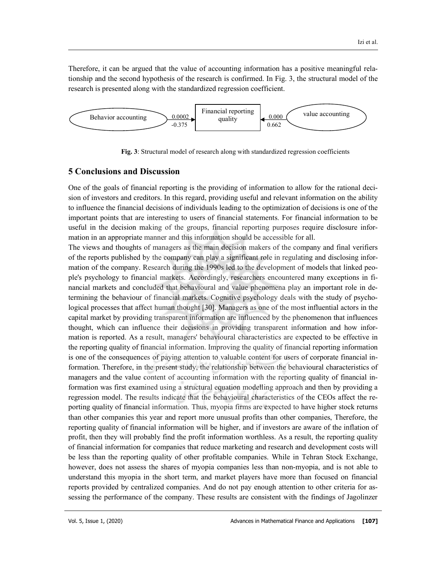Therefore, it can be argued that the value of accounting information has a positive meaningful relationship and the second hypothesis of the research is confirmed. In Fig. 3, the structural model of the research is presented along with the standardized regression coefficient.



Fig. 3: Structural model of research along with standardized regression coefficients

#### 5 Conclusions and Discussion

One of the goals of financial reporting is the providing of information to allow for the rational decision of investors and creditors. In this regard, providing useful and relevant information on the ability to influence the financial decisions of individuals leading to the optimization of decisions is one of the important points that are interesting to users of financial statements. For financial information to be useful in the decision making of the groups, financial reporting purposes require disclosure information in an appropriate manner and this information should be accessible for all.

The views and thoughts of managers as the main decision makers of the company and final verifiers of the reports published by the company can play a significant role in regulating and disclosing information of the company. Research during the 1990s led to the development of models that linked people's psychology to financial markets. Accordingly, researchers encountered many exceptions in financial markets and concluded that behavioural and value phenomena play an important role in determining the behaviour of financial markets. Cognitive psychology deals with the study of psychological processes that affect human thought [30]. Managers as one of the most influential actors in the capital market by providing transparent information are influenced by the phenomenon that influences thought, which can influence their decisions in providing transparent information and how information is reported. As a result, managers' behavioural characteristics are expected to be effective in the reporting quality of financial information. Improving the quality of financial reporting information is one of the consequences of paying attention to valuable content for users of corporate financial information. Therefore, in the present study, the relationship between the behavioural characteristics of managers and the value content of accounting information with the reporting quality of financial information was first examined using a structural equation modelling approach and then by providing a regression model. The results indicate that the behavioural characteristics of the CEOs affect the reporting quality of financial information. Thus, myopia firms are expected to have higher stock returns than other companies this year and report more unusual profits than other companies, Therefore, the reporting quality of financial information will be higher, and if investors are aware of the inflation of profit, then they will probably find the profit information worthless. As a result, the reporting quality of financial information for companies that reduce marketing and research and development costs will be less than the reporting quality of other profitable companies. While in Tehran Stock Exchange, however, does not assess the shares of myopia companies less than non-myopia, and is not able to understand this myopia in the short term, and market players have more than focused on financial reports provided by centralized companies. And do not pay enough attention to other criteria for assessing the performance of the company. These results are consistent with the findings of Jagolinzer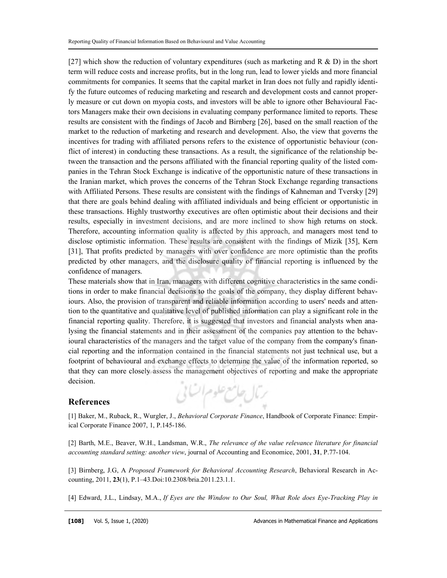[27] which show the reduction of voluntary expenditures (such as marketing and R & D) in the short term will reduce costs and increase profits, but in the long run, lead to lower yields and more financial commitments for companies. It seems that the capital market in Iran does not fully and rapidly identify the future outcomes of reducing marketing and research and development costs and cannot properly measure or cut down on myopia costs, and investors will be able to ignore other Behavioural Factors Managers make their own decisions in evaluating company performance limited to reports. These results are consistent with the findings of Jacob and Birnberg [26], based on the small reaction of the market to the reduction of marketing and research and development. Also, the view that governs the incentives for trading with affiliated persons refers to the existence of opportunistic behaviour (conflict of interest) in conducting these transactions. As a result, the significance of the relationship between the transaction and the persons affiliated with the financial reporting quality of the listed companies in the Tehran Stock Exchange is indicative of the opportunistic nature of these transactions in the Iranian market, which proves the concerns of the Tehran Stock Exchange regarding transactions with Affiliated Persons. These results are consistent with the findings of Kahneman and Tversky [29] that there are goals behind dealing with affiliated individuals and being efficient or opportunistic in these transactions. Highly trustworthy executives are often optimistic about their decisions and their results, especially in investment decisions, and are more inclined to show high returns on stock. Therefore, accounting information quality is affected by this approach, and managers most tend to disclose optimistic information. These results are consistent with the findings of Mizik [35], Kern [31], That profits predicted by managers with over confidence are more optimistic than the profits predicted by other managers, and the disclosure quality of financial reporting is influenced by the confidence of managers.

These materials show that in Iran, managers with different cognitive characteristics in the same conditions in order to make financial decisions to the goals of the company, they display different behaviours. Also, the provision of transparent and reliable information according to users' needs and attention to the quantitative and qualitative level of published information can play a significant role in the financial reporting quality. Therefore, it is suggested that investors and financial analysts when analysing the financial statements and in their assessment of the companies pay attention to the behavioural characteristics of the managers and the target value of the company from the company's financial reporting and the information contained in the financial statements not just technical use, but a footprint of behavioural and exchange effects to determine the value of the information reported, so that they can more closely assess the management objectives of reporting and make the appropriate decision. رئال حامع علوم اتنائى

## References

[1] Baker, M., Ruback, R., Wurgler, J., Behavioral Corporate Finance, Handbook of Corporate Finance: Empirical Corporate Finance 2007, 1, P.145-186.

[2] Barth, M.E., Beaver, W.H., Landsman, W.R., The relevance of the value relevance literature for financial accounting standard setting: another view, journal of Accounting and Economice, 2001, 31, P.77-104.

[3] Birnberg, J.G, A Proposed Framework for Behavioral Accounting Research, Behavioral Research in Accounting, 2011, 23(1), P.1–43.Doi:10.2308/bria.2011.23.1.1.

[4] Edward, J.L., Lindsay, M.A., If Eyes are the Window to Our Soul, What Role does Eye-Tracking Play in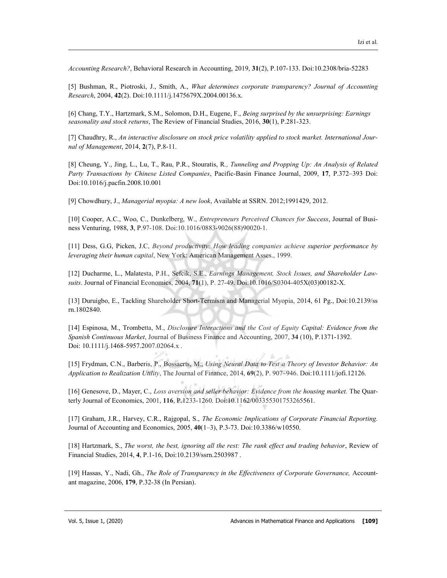Accounting Research?, Behavioral Research in Accounting, 2019, 31(2), P.107-133. Doi:10.2308/bria-52283

[5] Bushman, R., Piotroski, J., Smith, A., What determines corporate transparency? Journal of Accounting Research, 2004, 42(2). Doi:10.1111/j.1475679X.2004.00136.x.

[6] Chang, T.Y., Hartzmark, S.M., Solomon, D.H., Eugene, F., Being surprised by the unsurprising: Earnings seasonality and stock returns, The Review of Financial Studies, 2016, 30(1), P.281-323.

[7] Chaudhry, R., An interactive disclosure on stock price volatility applied to stock market. International Journal of Management, 2014, 2(7), P.8-11.

[8] Cheung, Y., Jing, L., Lu, T., Rau, P.R., Stouratis, R., Tunneling and Propping Up: An Analysis of Related Party Transactions by Chinese Listed Companies, Pacific-Basin Finance Journal, 2009, 17, P.372–393 Doi: Doi:10.1016/j.pacfin.2008.10.001

[9] Chowdhury, J., Managerial myopia: A new look, Available at SSRN. 2012;1991429, 2012.

[10] Cooper, A.C., Woo, C., Dunkelberg, W., Entrepreneurs Perceived Chances for Success, Journal of Business Venturing, 1988, 3, P.97-108. Doi:10.1016/0883-9026(88)90020-1.

[11] Dess, G.G, Picken, J.C, Beyond productivity: How leading companies achieve superior performance by leveraging their human capital, New York: American Management Asses., 1999.

[12] Ducharme, L., Malatesta, P.H., Sefcik, S.E., Earnings Management, Stock Issues, and Shareholder Lawsuits. Journal of Financial Economics, 2004, 71(1), P. 27-49. Doi:10.1016/S0304-405X(03)00182-X.

[13] Duruigbo, E., Tackling Shareholder Short-Termism and Managerial Myopia, 2014, 61 Pg., Doi:10.2139/ss rn.1802840.

[14] Espinosa, M., Trombetta, M., Disclosure Interactions and the Cost of Equity Capital: Evidence from the Spanish Continuous Market, Journal of Business Finance and Accounting, 2007, 34 (10), P.1371-1392. Doi: 10.1111/j.1468-5957.2007.02064.x .

[15] Frydman, C.N., Barberis, P., Bossaerts, M., Using Neural Data to Test a Theory of Investor Behavior: An Application to Realization Utility, The Journal of Finance, 2014, 69(2), P. 907–946. Doi:10.1111/jofi.12126.

[16] Genesove, D., Mayer, C., Loss aversion and seller behavior: Evidence from the housing market. The Quarterly Journal of Economics, 2001, 116, P.1233-1260. Doi:10.1162/003355301753265561.

[17] Graham, J.R., Harvey, C.R., Rajgopal, S., The Economic Implications of Corporate Financial Reporting. Journal of Accounting and Economics, 2005, 40(1–3), P.3-73. Doi:10.3386/w10550.

[18] Hartzmark, S., The worst, the best, ignoring all the rest: The rank effect and trading behavior, Review of Financial Studies, 2014, 4, P.1-16, Doi:10.2139/ssrn.2503987 .

[19] Hassas, Y., Nadi, Gh., The Role of Transparency in the Effectiveness of Corporate Governance, Accountant magazine, 2006, 179, P.32-38 (In Persian).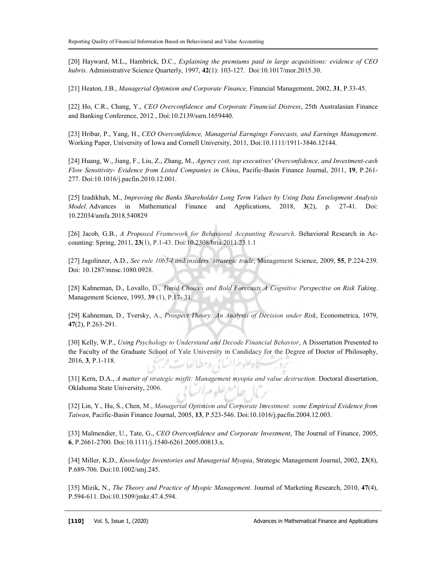[20] Hayward, M.L., Hambrick, D.C., Explaining the premiums paid in large acquisitions: evidence of CEO hubris. Administrative Science Quarterly, 1997, 42(1): 103-127. Doi:10.1017/mor.2015.30.

[21] Heaton, J.B., Managerial Optimism and Corporate Finance, Financial Management, 2002, 31, P.33-45.

[22] Ho, C.R., Chang, Y., CEO Overconfidence and Corporate Financial Distress, 25th Australasian Finance and Banking Conference, 2012 , Doi:10.2139/ssrn.1659440.

[23] Hribar, P., Yang, H., CEO Overconfidence, Managerial Earnqings Forecasts, and Earnings Management. Working Paper, University of Iowa and Cornell University, 2011, Doi:10.1111/1911-3846.12144.

[24] Huang, W., Jiang, F., Liu, Z., Zhang, M., Agency cost, top executives' Overconfidence, and Investment-cash Flow Sensitivity- Evidence from Listed Companies in China, Pacific-Basin Finance Journal, 2011, 19, P.261- 277. Doi:10.1016/j.pacfin.2010.12.001.

[25] Izadikhah, M., Improving the Banks Shareholder Long Term Values by Using Data Envelopment Analysis Model. Advances in Mathematical Finance and Applications, 2018, 3(2), p. 27-41. Doi: 10.22034/amfa.2018.540829

[26] Jacob, G.B., A Proposed Framework for Behavioral Accounting Research. Behavioral Research in Accounting: Spring, 2011, 23(1), P.1-43. Doi:10.2308/bria.2011.23.1.1

[27] Jagolinzer, A.D., Sec rule 10b5-l and insiders' strategic trade, Management Science, 2009, 55, P.224-239. Doi: 10.1287/mnsc.1080.0928.

[28] Kahneman, D., Lovallo, D., Timid Choices and Bold Forecasts A Cognitive Perspective on Risk Taking. Management Science, 1993, 39 (1), P.17- 31.

[29] Kahneman, D., Tversky, A., Prospect Theory: An Analysis of Decision under Risk, Econometrica, 1979, 47(2), P.263-291.

[30] Kelly, W.P., Using Psychology to Understand and Decode Financial Behavior, A Dissertation Presented to the Faculty of the Graduate School of Yale University in Candidacy for the Degree of Doctor of Philosophy, 2016, 3, P.1-118. الوعراب في رومضالطا

[31] Kern, D.A., A matter of strategic misfit: Management myopia and value destruction. Doctoral dissertation, Oklahoma State University, 2006. عله عبرا ا

[32] Lin, Y., Hu, S., Chen, M., Managerial Optimism and Corporate Investment: some Empirical Evidence from Taiwan, Pacific-Basin Finance Journal, 2005, 13, P.523-546. Doi:10.1016/j.pacfin.2004.12.003.

[33] Malmendier, U., Tate, G., CEO Overconfidence and Corporate Investment, The Journal of Finance, 2005, 6, P.2661-2700. Doi:10.1111/j.1540-6261.2005.00813.x.

[34] Miller, K.D., Knowledge Inventories and Managerial Myopia, Strategic Management Journal, 2002, 23(8), P.689-706. Doi:10.1002/smj.245.

[35] Mizik, N., The Theory and Practice of Myopic Management. Journal of Marketing Research, 2010, 47(4), P.594-611. Doi:10.1509/jmkr.47.4.594.